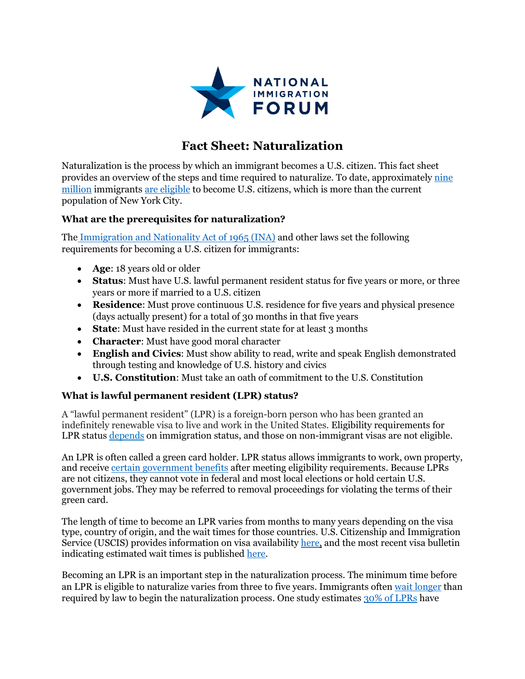

# **Fact Sheet: Naturalization**

Naturalization is the process by which an immigrant becomes a U.S. citizen. This fact sheet provides an overview of the steps and time required to naturalize. To date, approximatel[y nine](https://www.dhs.gov/sites/default/files/publications/lpr_population_estimates_january_2015.pdf) [million](https://www.dhs.gov/sites/default/files/publications/lpr_population_estimates_january_2015.pdf) immigrants are [eligible](https://www.migrationpolicy.org/article/naturalization-trends-united-states-2017) to become U.S. citizens, which is more than the current population of New York City.

#### **What are the prerequisites for naturalization?**

The [Immigration and Nationality Act of 1965](https://www.refworld.org/pdfid/3df4be4fe.pdf) (INA) and other laws set the following requirements for becoming a U.S. citizen for immigrants:

- **Age**: 18 years old or older
- **Status**: Must have U.S. lawful permanent resident status for five years or more, or three years or more if married to a U.S. citizen
- **Residence**: Must prove continuous U.S. residence for five years and physical presence (days actually present) for a total of 30 months in that five years
- **State:** Must have resided in the current state for at least 3 months
- **Character**: Must have good moral character
- **English and Civics**: Must show ability to read, write and speak English demonstrated through testing and knowledge of U.S. history and civics
- **U.S. Constitution**: Must take an oath of commitment to the U.S. Constitution

#### **What is lawful permanent resident (LPR) status?**

A "lawful permanent resident" (LPR) is a foreign-born person who has been granted an indefinitely renewable visa to live and work in the United States. Eligibility requirements for LPR status [depends](https://www.uscis.gov/forms/explore-my-options/green-card-eligibility) on immigration status, and those on non-immigrant visas are not eligible.

An LPR is often called a green card holder. LPR status allows immigrants to work, own property, and receive [certain government benefits](https://immigrationforum.org/article/fact-sheet-immigrants-and-public-benefits/) after meeting eligibility requirements. Because LPRs are not citizens, they cannot vote in federal and most local elections or hold certain U.S. government jobs. They may be referred to removal proceedings for violating the terms of their green card.

The length of time to become an LPR varies from months to many years depending on the visa type, country of origin, and the wait times for those countries. U.S. Citizenship and Immigration Service (USCIS) provides information on visa availability [here,](https://www.uscis.gov/green-card/green-card-processes-and-procedures/visa-availability-and-priority-dates) and the most recent visa bulletin indicating estimated wait times is published [here.](https://travel.state.gov/content/travel/en/legal/visa-law0/visa-bulletin.html)

Becoming an LPR is an important step in the naturalization process. The minimum time before an LPR is eligible to naturalize varies from three to five years. Immigrants often [wait longer](https://www.migrationpolicy.org/article/naturalization-trends-united-states-2017) than required by law to begin the naturalization process. One study estimates [30% of LPRs](https://dornsife.usc.edu/assets/sites/731/docs/PathsToCitizenship_Full_Report_CSII.pdf) have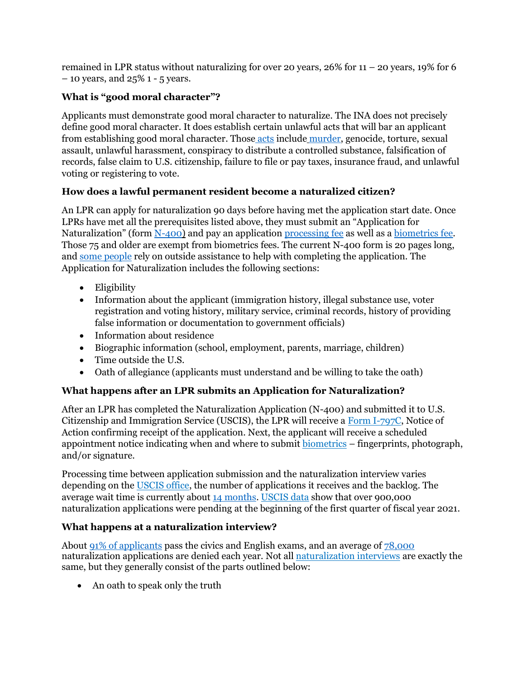remained in LPR status without naturalizing for over 20 years, 26% for 11 – 20 years, 19% for 6 – 10 years, and 25% 1 - 5 years.

### **What is "good moral character"?**

Applicants must demonstrate good moral character to naturalize. The INA does not precisely define good moral character. It does establish certain unlawful acts that will bar an applicant from establishing good moral character. Those [acts](https://www.uscis.gov/news/news-releases/uscis-expands-guidance-related-to-naturalization-requirement-of-good-moral-character) include [murder,](https://www.uscis.gov/policy-manual/volume-12-part-f-chapter-4) genocide, torture, sexual assault, unlawful harassment, conspiracy to distribute a controlled substance, falsification of records, false claim to U.S. citizenship, failure to file or pay taxes, insurance fraud, and unlawful voting or registering to vote.

### **How does a lawful permanent resident become a naturalized citizen?**

An LPR can apply for naturalization 90 days before having met the application start date. Once LPRs have met all the prerequisites listed above, they must submit an "Application for Naturalization" (form [N-400\)](https://www.uscis.gov/sites/default/files/document/forms/n-400.pdf) and pay an application [processing fee](https://immigrationforum.org/article/naturalization-fee-increases/) as well as a [biometrics fee.](https://www.uscis.gov/archive/our-fees#:~:text=Certain%20low%2Dincome%20naturalization%20applicants,the%20%2485%20biometric%20services%20fee.) Those 75 and older are exempt from biometrics fees. The current N-400 form is 20 pages long, and [some people](https://www.uscis.gov/citizenship/learn-about-citizenship/commonly-asked-questions-about-the-naturalization-process) rely on outside assistance to help with completing the application. The Application for Naturalization includes the following sections:

- Eligibility
- Information about the applicant (immigration history, illegal substance use, voter registration and voting history, military service, criminal records, history of providing false information or documentation to government officials)
- Information about residence
- Biographic information (school, employment, parents, marriage, children)
- Time outside the U.S.
- Oath of allegiance (applicants must understand and be willing to take the oath)

## **What happens after an LPR submits an Application for Naturalization?**

After an LPR has completed the Naturalization Application (N-400) and submitted it to U.S. Citizenship and Immigration Service (USCIS), the LPR will receive a [Form I-797C,](https://www.uscis.gov/forms/all-forms/form-i-797c-notice-of-action) Notice of Action confirming receipt of the application. Next, the applicant will receive a scheduled appointment notice indicating when and where to submit [biometrics](https://www.uscis.gov/forms/filing-guidance/preparing-for-your-biometric-services-appointment) – fingerprints, photograph, and/or signature.

Processing time between application submission and the naturalization interview varies depending on the [USCIS office,](https://egov.uscis.gov/processing-times/) the number of applications it receives and the backlog. The average wait time is currently about [14 months.](https://www.boundless.com/immigration-resources/how-long-does-it-take-to-get-citizenship-after-applying/#:~:text=interview%20and%20exam-,INTERVIEW,or%20later%20for%20some%20applicants).) [USCIS data](https://www.uscis.gov/sites/default/files/document/reports/N400_performancedata_fy2020_qtr4.pdf) show that over 900,000 naturalization applications were pending at the beginning of the first quarter of fiscal year 2021.

#### **What happens at a naturalization interview?**

About [91% of applicants](https://www.uscis.gov/citizenship/learn-about-citizenship/the-naturalization-interview-and-test/applicant-performance-on-the-naturalization-test) pass the civics and English exams, and an average of [78,000](https://www.dallasnews.com/news/immigration/2020/01/20/how-many-immigrants-are-denied-citizenship-each-year-curious-texas-took-an-oath-to-find-out/) naturalization applications are denied each year. Not all [naturalization interviews](https://www.uscis.gov/sites/default/files/document/videos/Naturalization_Interview.mp4) are exactly the same, but they generally consist of the parts outlined below:

• An oath to speak only the truth